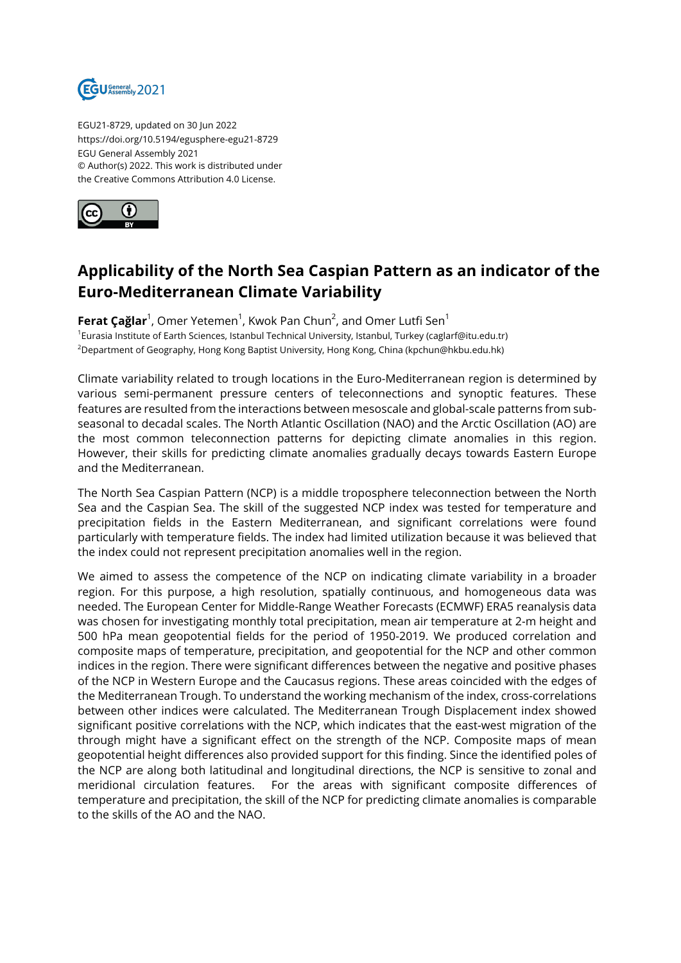

EGU21-8729, updated on 30 Jun 2022 https://doi.org/10.5194/egusphere-egu21-8729 EGU General Assembly 2021 © Author(s) 2022. This work is distributed under the Creative Commons Attribution 4.0 License.



## **Applicability of the North Sea Caspian Pattern as an indicator of the Euro-Mediterranean Climate Variability**

**Ferat Çağlar**<sup>1</sup>, Omer Yetemen<sup>1</sup>, Kwok Pan Chun<sup>2</sup>, and Omer Lutfi Sen<sup>1</sup> 1 Eurasia Institute of Earth Sciences, Istanbul Technical University, Istanbul, Turkey (caglarf@itu.edu.tr) <sup>2</sup>Department of Geography, Hong Kong Baptist University, Hong Kong, China (kpchun@hkbu.edu.hk)

Climate variability related to trough locations in the Euro-Mediterranean region is determined by various semi-permanent pressure centers of teleconnections and synoptic features. These features are resulted from the interactions between mesoscale and global-scale patterns from subseasonal to decadal scales. The North Atlantic Oscillation (NAO) and the Arctic Oscillation (AO) are the most common teleconnection patterns for depicting climate anomalies in this region. However, their skills for predicting climate anomalies gradually decays towards Eastern Europe and the Mediterranean.

The North Sea Caspian Pattern (NCP) is a middle troposphere teleconnection between the North Sea and the Caspian Sea. The skill of the suggested NCP index was tested for temperature and precipitation fields in the Eastern Mediterranean, and significant correlations were found particularly with temperature fields. The index had limited utilization because it was believed that the index could not represent precipitation anomalies well in the region.

We aimed to assess the competence of the NCP on indicating climate variability in a broader region. For this purpose, a high resolution, spatially continuous, and homogeneous data was needed. The European Center for Middle-Range Weather Forecasts (ECMWF) ERA5 reanalysis data was chosen for investigating monthly total precipitation, mean air temperature at 2-m height and 500 hPa mean geopotential fields for the period of 1950-2019. We produced correlation and composite maps of temperature, precipitation, and geopotential for the NCP and other common indices in the region. There were significant differences between the negative and positive phases of the NCP in Western Europe and the Caucasus regions. These areas coincided with the edges of the Mediterranean Trough. To understand the working mechanism of the index, cross-correlations between other indices were calculated. The Mediterranean Trough Displacement index showed significant positive correlations with the NCP, which indicates that the east-west migration of the through might have a significant effect on the strength of the NCP. Composite maps of mean geopotential height differences also provided support for this finding. Since the identified poles of the NCP are along both latitudinal and longitudinal directions, the NCP is sensitive to zonal and meridional circulation features. For the areas with significant composite differences of temperature and precipitation, the skill of the NCP for predicting climate anomalies is comparable to the skills of the AO and the NAO.